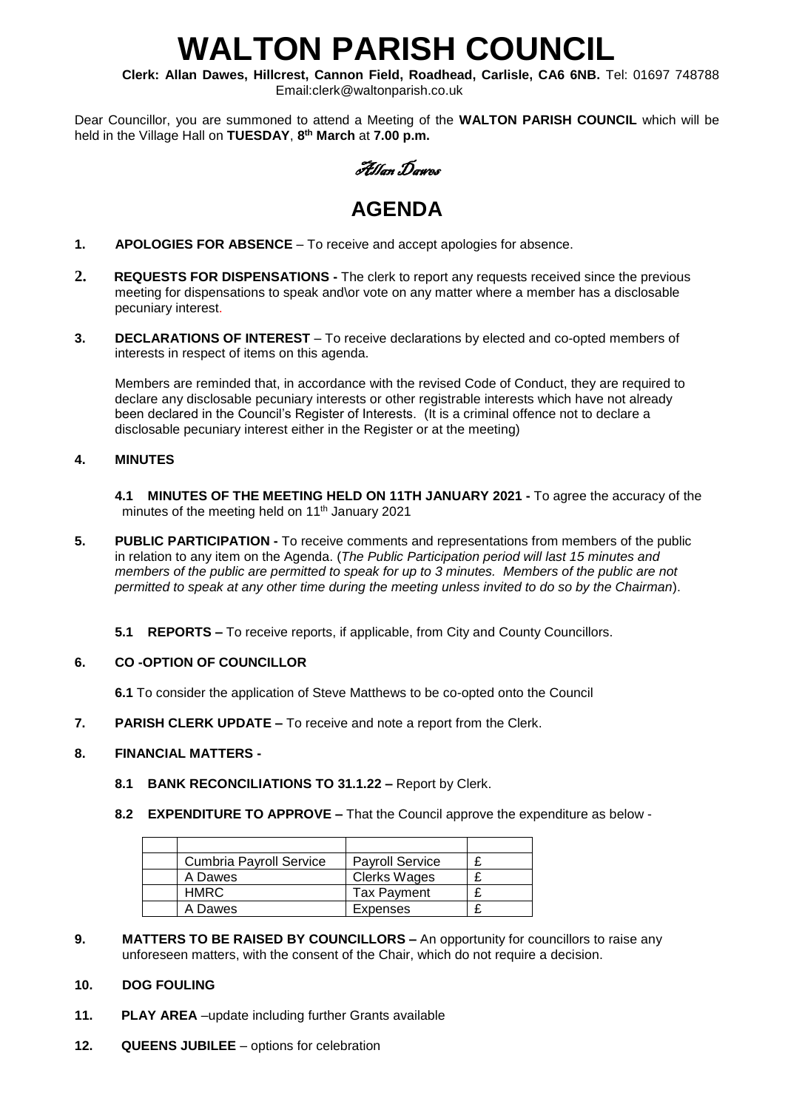# **WALTON PARISH COUNCIL**

**Clerk: Allan Dawes, Hillcrest, Cannon Field, Roadhead, Carlisle, CA6 6NB.** Tel: 01697 748788 Email:clerk@waltonparish.co.uk

Dear Councillor, you are summoned to attend a Meeting of the **WALTON PARISH COUNCIL** which will be held in the Village Hall on **TUESDAY**, **8 th March** at **7.00 p.m.**

Allan Dawes

## **AGENDA**

- **1. APOLOGIES FOR ABSENCE** To receive and accept apologies for absence.
- **2. REQUESTS FOR DISPENSATIONS -** The clerk to report any requests received since the previous meeting for dispensations to speak and\or vote on any matter where a member has a disclosable pecuniary interest.
- **3. DECLARATIONS OF INTEREST** To receive declarations by elected and co-opted members of interests in respect of items on this agenda.

 Members are reminded that, in accordance with the revised Code of Conduct, they are required to declare any disclosable pecuniary interests or other registrable interests which have not already been declared in the Council's Register of Interests. (It is a criminal offence not to declare a disclosable pecuniary interest either in the Register or at the meeting)

#### **4. MINUTES**

 **4.1 MINUTES OF THE MEETING HELD ON 11TH JANUARY 2021 -** To agree the accuracy of the minutes of the meeting held on 11<sup>th</sup> January 2021

- **5. PUBLIC PARTICIPATION -** To receive comments and representations from members of the public in relation to any item on the Agenda. (*The Public Participation period will last 15 minutes and members of the public are permitted to speak for up to 3 minutes. Members of the public are not permitted to speak at any other time during the meeting unless invited to do so by the Chairman*).
	- **5.1 REPORTS –** To receive reports, if applicable, from City and County Councillors.

#### **6. CO -OPTION OF COUNCILLOR**

- **6.1** To consider the application of Steve Matthews to be co-opted onto the Council
- **7. PARISH CLERK UPDATE –** To receive and note a report from the Clerk.

#### **8. FINANCIAL MATTERS -**

- **8.1 BANK RECONCILIATIONS TO 31.1.22 –** Report by Clerk.
- **8.2 EXPENDITURE TO APPROVE –** That the Council approve the expenditure as below -

| <b>Cumbria Payroll Service</b> | <b>Payroll Service</b> |  |
|--------------------------------|------------------------|--|
| A Dawes                        | Clerks Wages           |  |
| HMRC.                          | <b>Tax Payment</b>     |  |
| A Dawes                        | <b>Expenses</b>        |  |

**9. MATTERS TO BE RAISED BY COUNCILLORS –** An opportunity for councillors to raise any unforeseen matters, with the consent of the Chair, which do not require a decision.

#### **10. DOG FOULING**

- **11. PLAY AREA** –update including further Grants available
- **12. QUEENS JUBILEE**  options for celebration